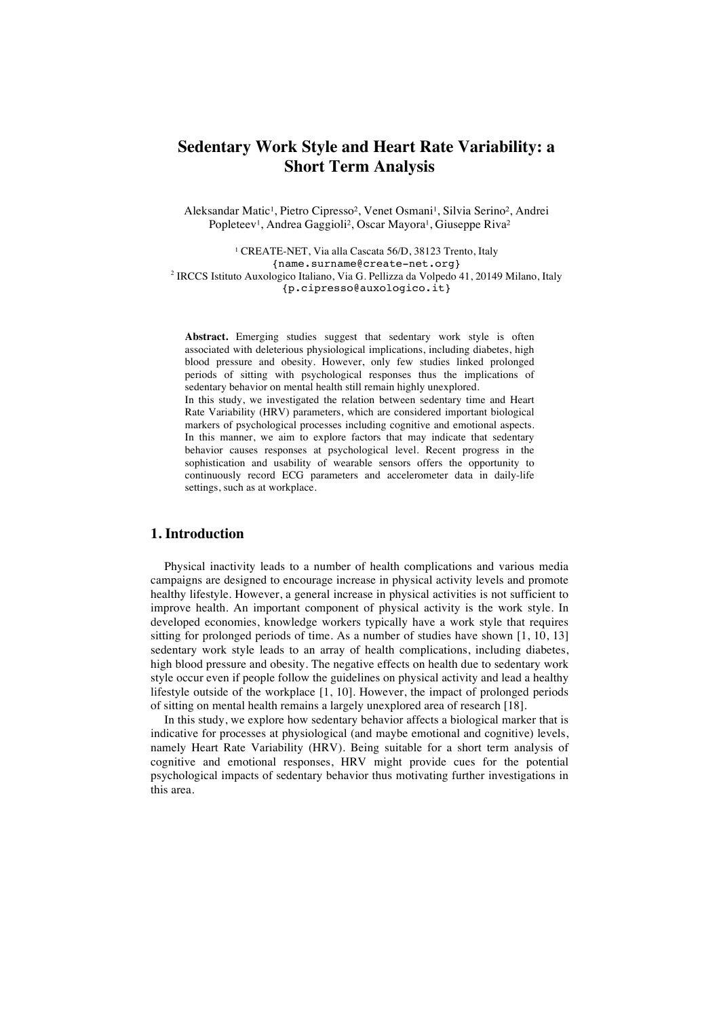# **Sedentary Work Style and Heart Rate Variability: a Short Term Analysis**

Aleksandar Matic<sup>1</sup>, Pietro Cipresso<sup>2</sup>, Venet Osmani<sup>1</sup>, Silvia Serino<sup>2</sup>, Andrei Popleteev<sup>1</sup>, Andrea Gaggioli<sup>2</sup>, Oscar Mayora<sup>1</sup>, Giuseppe Riva<sup>2</sup>

<sup>1</sup> CREATE-NET, Via alla Cascata 56/D, 38123 Trento, Italy {name.surname@create-net.org} <sup>2</sup> IRCCS Istituto Auxologico Italiano, Via G. Pellizza da Volpedo 41, 20149 Milano, Italy {p.cipresso@auxologico.it}

**Abstract.** Emerging studies suggest that sedentary work style is often associated with deleterious physiological implications, including diabetes, high blood pressure and obesity. However, only few studies linked prolonged periods of sitting with psychological responses thus the implications of sedentary behavior on mental health still remain highly unexplored. In this study, we investigated the relation between sedentary time and Heart Rate Variability (HRV) parameters, which are considered important biological markers of psychological processes including cognitive and emotional aspects. In this manner, we aim to explore factors that may indicate that sedentary behavior causes responses at psychological level. Recent progress in the sophistication and usability of wearable sensors offers the opportunity to continuously record ECG parameters and accelerometer data in daily-life

### **1. Introduction**

settings, such as at workplace.

Physical inactivity leads to a number of health complications and various media campaigns are designed to encourage increase in physical activity levels and promote healthy lifestyle. However, a general increase in physical activities is not sufficient to improve health. An important component of physical activity is the work style. In developed economies, knowledge workers typically have a work style that requires sitting for prolonged periods of time. As a number of studies have shown [1, 10, 13] sedentary work style leads to an array of health complications, including diabetes, high blood pressure and obesity. The negative effects on health due to sedentary work style occur even if people follow the guidelines on physical activity and lead a healthy lifestyle outside of the workplace [1, 10]. However, the impact of prolonged periods of sitting on mental health remains a largely unexplored area of research [18].

In this study, we explore how sedentary behavior affects a biological marker that is indicative for processes at physiological (and maybe emotional and cognitive) levels, namely Heart Rate Variability (HRV). Being suitable for a short term analysis of cognitive and emotional responses, HRV might provide cues for the potential psychological impacts of sedentary behavior thus motivating further investigations in this area.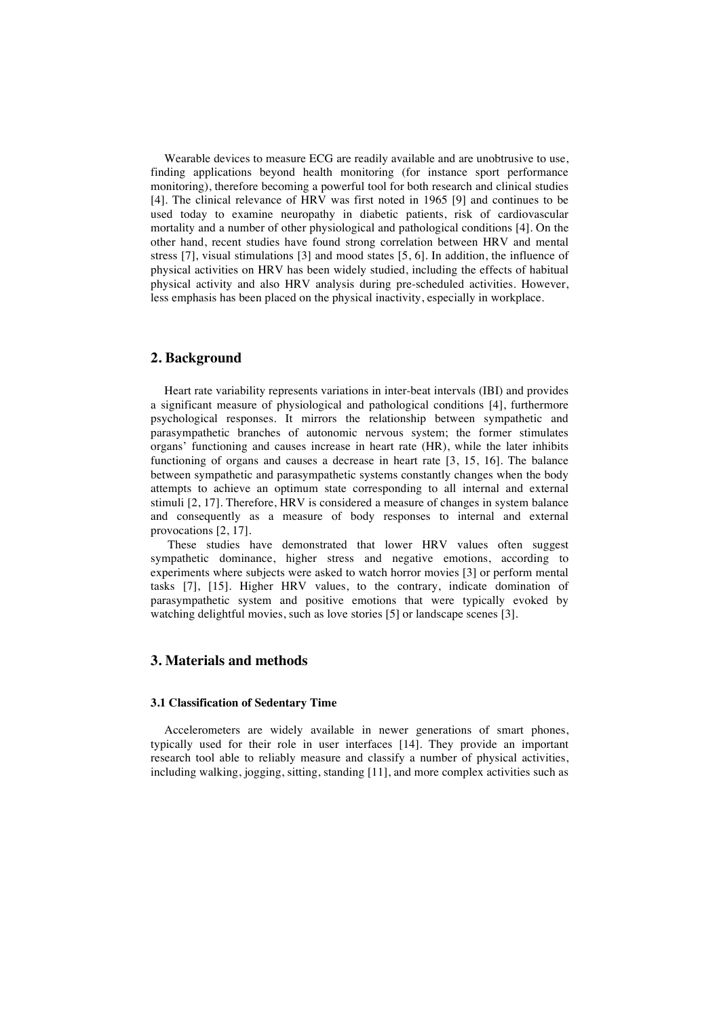Wearable devices to measure ECG are readily available and are unobtrusive to use, finding applications beyond health monitoring (for instance sport performance monitoring), therefore becoming a powerful tool for both research and clinical studies [4]. The clinical relevance of HRV was first noted in 1965 [9] and continues to be used today to examine neuropathy in diabetic patients, risk of cardiovascular mortality and a number of other physiological and pathological conditions [4]. On the other hand, recent studies have found strong correlation between HRV and mental stress [7], visual stimulations [3] and mood states [5, 6]. In addition, the influence of physical activities on HRV has been widely studied, including the effects of habitual physical activity and also HRV analysis during pre-scheduled activities. However, less emphasis has been placed on the physical inactivity, especially in workplace.

## **2. Background**

Heart rate variability represents variations in inter-beat intervals (IBI) and provides a significant measure of physiological and pathological conditions [4], furthermore psychological responses. It mirrors the relationship between sympathetic and parasympathetic branches of autonomic nervous system; the former stimulates organs' functioning and causes increase in heart rate (HR), while the later inhibits functioning of organs and causes a decrease in heart rate [3, 15, 16]. The balance between sympathetic and parasympathetic systems constantly changes when the body attempts to achieve an optimum state corresponding to all internal and external stimuli [2, 17]. Therefore, HRV is considered a measure of changes in system balance and consequently as a measure of body responses to internal and external provocations [2, 17].

These studies have demonstrated that lower HRV values often suggest sympathetic dominance, higher stress and negative emotions, according to experiments where subjects were asked to watch horror movies [3] or perform mental tasks [7], [15]. Higher HRV values, to the contrary, indicate domination of parasympathetic system and positive emotions that were typically evoked by watching delightful movies, such as love stories [5] or landscape scenes [3].

# **3. Materials and methods**

#### **3.1 Classification of Sedentary Time**

Accelerometers are widely available in newer generations of smart phones, typically used for their role in user interfaces [14]. They provide an important research tool able to reliably measure and classify a number of physical activities, including walking, jogging, sitting, standing [11], and more complex activities such as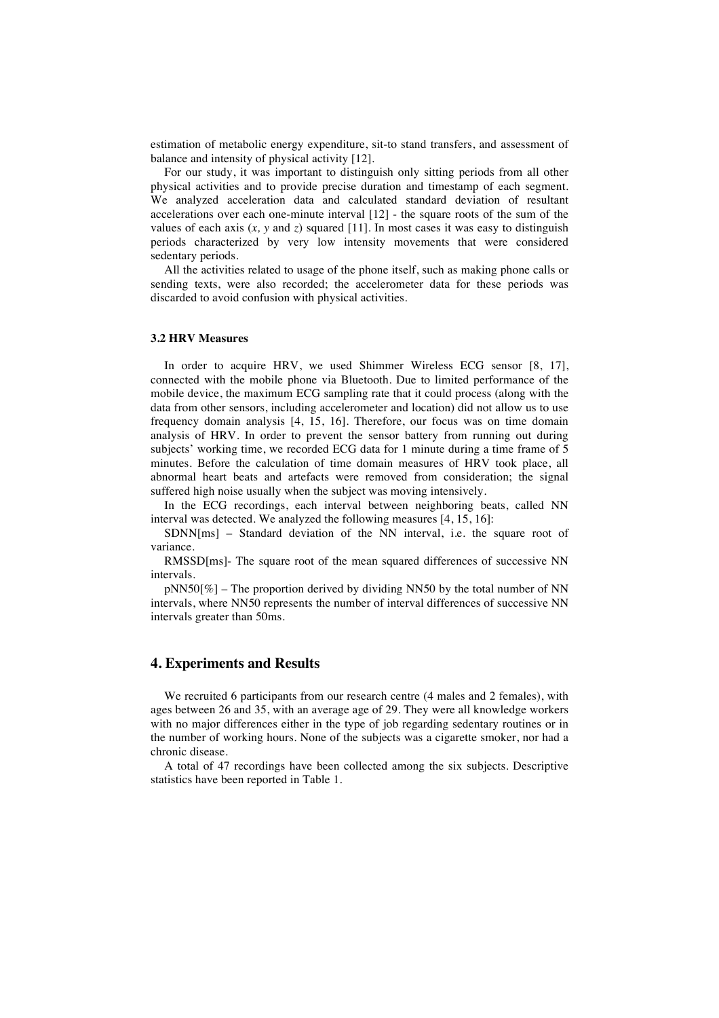estimation of metabolic energy expenditure, sit-to stand transfers, and assessment of balance and intensity of physical activity [12].

For our study, it was important to distinguish only sitting periods from all other physical activities and to provide precise duration and timestamp of each segment. We analyzed acceleration data and calculated standard deviation of resultant accelerations over each one-minute interval [12] - the square roots of the sum of the values of each axis  $(x, y \text{ and } z)$  squared [11]. In most cases it was easy to distinguish periods characterized by very low intensity movements that were considered sedentary periods.

All the activities related to usage of the phone itself, such as making phone calls or sending texts, were also recorded; the accelerometer data for these periods was discarded to avoid confusion with physical activities.

### **3.2 HRV Measures**

In order to acquire HRV, we used Shimmer Wireless ECG sensor [8, 17], connected with the mobile phone via Bluetooth. Due to limited performance of the mobile device, the maximum ECG sampling rate that it could process (along with the data from other sensors, including accelerometer and location) did not allow us to use frequency domain analysis [4, 15, 16]. Therefore, our focus was on time domain analysis of HRV. In order to prevent the sensor battery from running out during subjects' working time, we recorded ECG data for 1 minute during a time frame of 5 minutes. Before the calculation of time domain measures of HRV took place, all abnormal heart beats and artefacts were removed from consideration; the signal suffered high noise usually when the subject was moving intensively.

In the ECG recordings, each interval between neighboring beats, called NN interval was detected. We analyzed the following measures [4, 15, 16]:

SDNN[ms] – Standard deviation of the NN interval, i.e. the square root of variance.

RMSSD[ms]- The square root of the mean squared differences of successive NN intervals.

 $pNN50[\%]$  – The proportion derived by dividing NN50 by the total number of NN intervals, where NN50 represents the number of interval differences of successive NN intervals greater than 50ms.

## **4. Experiments and Results**

We recruited 6 participants from our research centre (4 males and 2 females), with ages between 26 and 35, with an average age of 29. They were all knowledge workers with no major differences either in the type of job regarding sedentary routines or in the number of working hours. None of the subjects was a cigarette smoker, nor had a chronic disease.

A total of 47 recordings have been collected among the six subjects. Descriptive statistics have been reported in Table 1.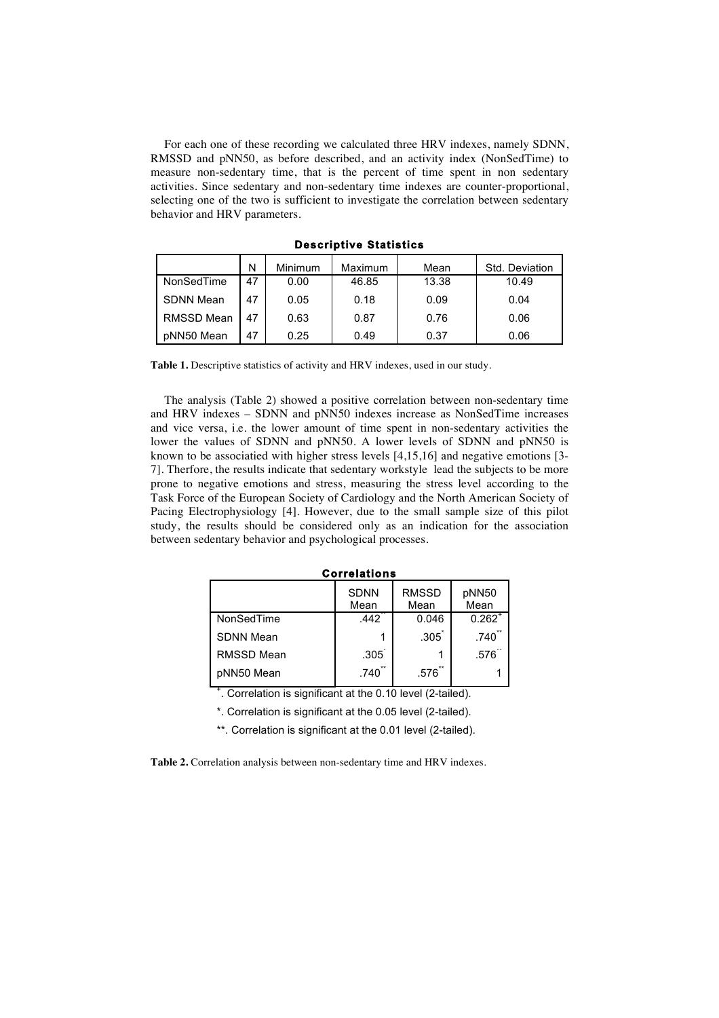For each one of these recording we calculated three HRV indexes, namely SDNN, RMSSD and pNN50, as before described, and an activity index (NonSedTime) to measure non-sedentary time, that is the percent of time spent in non sedentary activities. Since sedentary and non-sedentary time indexes are counter-proportional, selecting one of the two is sufficient to investigate the correlation between sedentary behavior and HRV parameters.

|                   | N  | <b>Minimum</b> | Maximum | Mean  | Std. Deviation |
|-------------------|----|----------------|---------|-------|----------------|
| NonSedTime        | 47 | 0.00           | 46.85   | 13.38 | 10.49          |
| <b>SDNN Mean</b>  | 47 | 0.05           | 0.18    | 0.09  | 0.04           |
| <b>RMSSD Mean</b> | 47 | 0.63           | 0.87    | 0.76  | 0.06           |
| pNN50 Mean        | 47 | 0.25           | 0.49    | 0.37  | 0.06           |

**Descriptive Statistics** 

**Table 1.** Descriptive statistics of activity and HRV indexes, used in our study.

The analysis (Table 2) showed a positive correlation between non-sedentary time and HRV indexes – SDNN and pNN50 indexes increase as NonSedTime increases and vice versa, i.e. the lower amount of time spent in non-sedentary activities the lower the values of SDNN and pNN50. A lower levels of SDNN and pNN50 is known to be associatied with higher stress levels [4,15,16] and negative emotions [3- 7]. Therfore, the results indicate that sedentary workstyle lead the subjects to be more prone to negative emotions and stress, measuring the stress level according to the Task Force of the European Society of Cardiology and the North American Society of Pacing Electrophysiology [4]. However, due to the small sample size of this pilot study, the results should be considered only as an indication for the association between sedentary behavior and psychological processes.

| <b>Correlations</b> |                     |                      |               |  |  |  |  |  |  |
|---------------------|---------------------|----------------------|---------------|--|--|--|--|--|--|
|                     | <b>SDNN</b><br>Mean | <b>RMSSD</b><br>Mean | pNN50<br>Mean |  |  |  |  |  |  |
| NonSedTime          | 442                 | 0.046                | $0.262^{+}$   |  |  |  |  |  |  |
| <b>SDNN Mean</b>    |                     | .305                 | .740          |  |  |  |  |  |  |
| RMSSD Mean          | .305 <sup>°</sup>   |                      | .576          |  |  |  |  |  |  |
| pNN50 Mean          | .740                | $**$<br>.576         |               |  |  |  |  |  |  |

+ . Correlation is significant at the 0.10 level (2-tailed).

\*. Correlation is significant at the 0.05 level (2-tailed).

\*\*. Correlation is significant at the 0.01 level (2-tailed).

**Table 2.** Correlation analysis between non-sedentary time and HRV indexes.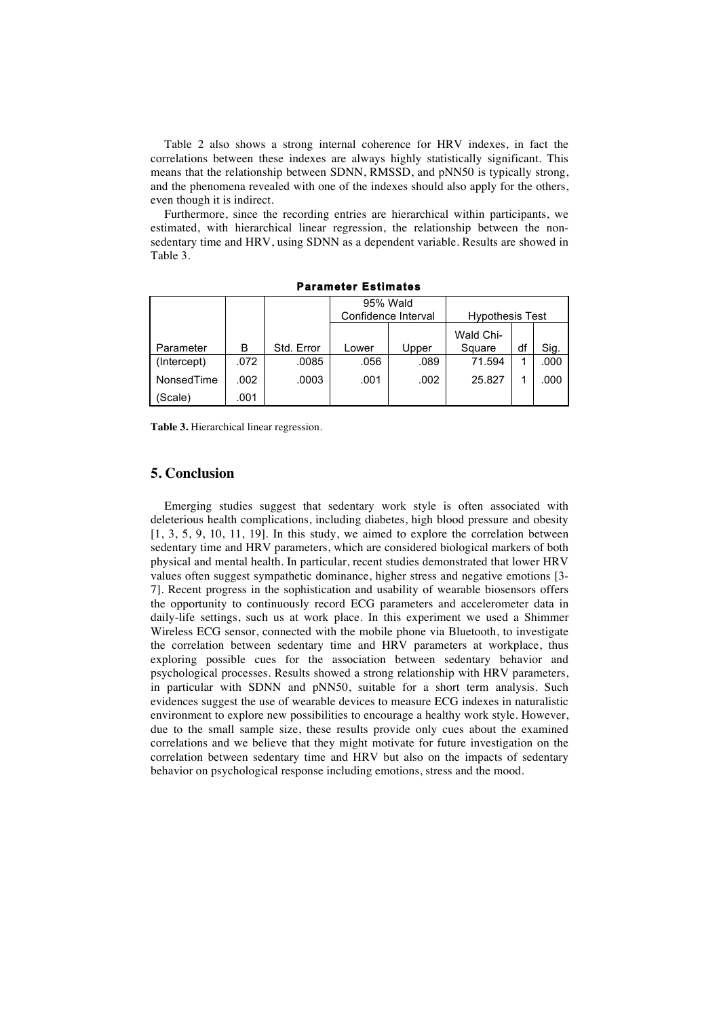Table 2 also shows a strong internal coherence for HRV indexes, in fact the correlations between these indexes are always highly statistically significant. This means that the relationship between SDNN, RMSSD, and pNN50 is typically strong, and the phenomena revealed with one of the indexes should also apply for the others, even though it is indirect.

Furthermore, since the recording entries are hierarchical within participants, we estimated, with hierarchical linear regression, the relationship between the nonsedentary time and HRV, using SDNN as a dependent variable. Results are showed in Table 3.

|             |      |            | 95% Wald            |       |                        |    |      |
|-------------|------|------------|---------------------|-------|------------------------|----|------|
|             |      |            | Confidence Interval |       | <b>Hypothesis Test</b> |    |      |
|             |      |            |                     |       | Wald Chi-              |    |      |
| Parameter   | в    | Std. Error | Lower               | Upper | Square                 | df | Sig. |
| (Intercept) | .072 | .0085      | .056                | .089  | 71.594                 |    | .000 |
| NonsedTime  | .002 | .0003      | .001                | .002  | 25.827                 |    | .000 |
| (Scale)     | .001 |            |                     |       |                        |    |      |

**Parameter Estimates** 

**Table 3.** Hierarchical linear regression.

# **5. Conclusion**

Emerging studies suggest that sedentary work style is often associated with deleterious health complications, including diabetes, high blood pressure and obesity [1, 3, 5, 9, 10, 11, 19]. In this study, we aimed to explore the correlation between sedentary time and HRV parameters, which are considered biological markers of both physical and mental health. In particular, recent studies demonstrated that lower HRV values often suggest sympathetic dominance, higher stress and negative emotions [3- 7]. Recent progress in the sophistication and usability of wearable biosensors offers the opportunity to continuously record ECG parameters and accelerometer data in daily-life settings, such us at work place. In this experiment we used a Shimmer Wireless ECG sensor, connected with the mobile phone via Bluetooth, to investigate the correlation between sedentary time and HRV parameters at workplace, thus exploring possible cues for the association between sedentary behavior and psychological processes. Results showed a strong relationship with HRV parameters, in particular with SDNN and pNN50, suitable for a short term analysis. Such evidences suggest the use of wearable devices to measure ECG indexes in naturalistic environment to explore new possibilities to encourage a healthy work style. However, due to the small sample size, these results provide only cues about the examined correlations and we believe that they might motivate for future investigation on the correlation between sedentary time and HRV but also on the impacts of sedentary behavior on psychological response including emotions, stress and the mood.